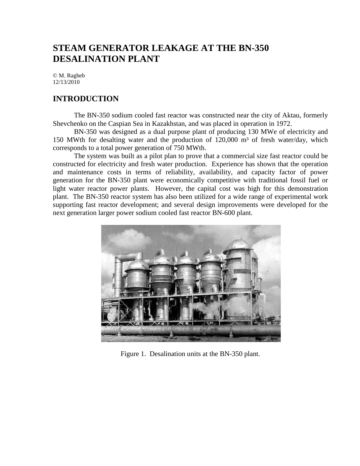# **STEAM GENERATOR LEAKAGE AT THE BN-350 DESALINATION PLANT**

© M. Ragheb 12/13/2010

### **INTRODUCTION**

The BN-350 sodium cooled fast reactor was constructed near the city of Aktau, formerly Shevchenko on the Caspian Sea in Kazakhstan, and was placed in operation in 1972.

BN-350 was designed as a dual purpose plant of producing 130 MWe of electricity and 150 MWth for desalting water and the production of  $120,000$  m<sup>3</sup> of fresh water/day, which corresponds to a total power generation of 750 MWth.

The system was built as a pilot plan to prove that a commercial size fast reactor could be constructed for electricity and fresh water production. Experience has shown that the operation and maintenance costs in terms of reliability, availability, and capacity factor of power generation for the BN-350 plant were economically competitive with traditional fossil fuel or light water reactor power plants. However, the capital cost was high for this demonstration plant. The BN-350 reactor system has also been utilized for a wide range of experimental work supporting fast reactor development; and several design improvements were developed for the next generation larger power sodium cooled fast reactor BN-600 plant.



Figure 1. Desalination units at the BN-350 plant.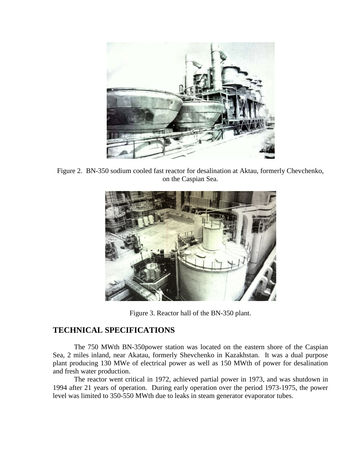

Figure 2. BN-350 sodium cooled fast reactor for desalination at Aktau, formerly Chevchenko, on the Caspian Sea.



Figure 3. Reactor hall of the BN-350 plant.

## **TECHNICAL SPECIFICATIONS**

The 750 MWth BN-350power station was located on the eastern shore of the Caspian Sea, 2 miles inland, near Akatau, formerly Shevchenko in Kazakhstan. It was a dual purpose plant producing 130 MWe of electrical power as well as 150 MWth of power for desalination and fresh water production.

The reactor went critical in 1972, achieved partial power in 1973, and was shutdown in 1994 after 21 years of operation. During early operation over the period 1973-1975, the power level was limited to 350-550 MWth due to leaks in steam generator evaporator tubes.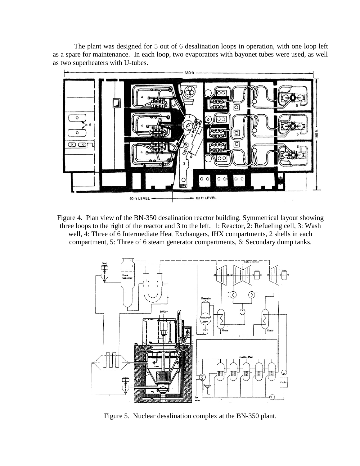The plant was designed for 5 out of 6 desalination loops in operation, with one loop left as a spare for maintenance. In each loop, two evaporators with bayonet tubes were used, as well as two superheaters with U-tubes.



Figure 4. Plan view of the BN-350 desalination reactor building. Symmetrical layout showing three loops to the right of the reactor and 3 to the left. 1: Reactor, 2: Refueling cell, 3: Wash well, 4: Three of 6 Intermediate Heat Exchangers, IHX compartments, 2 shells in each compartment, 5: Three of 6 steam generator compartments, 6: Secondary dump tanks.



Figure 5. Nuclear desalination complex at the BN-350 plant.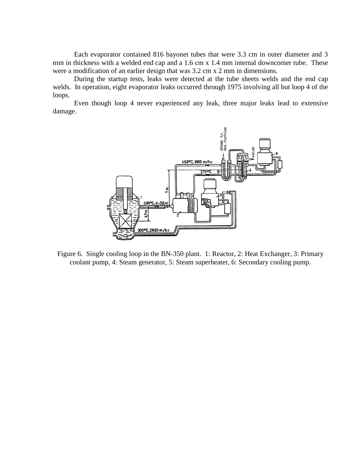Each evaporator contained 816 bayonet tubes that were 3.3 cm in outer diameter and 3 mm in thickness with a welded end cap and a 1.6 cm x 1.4 mm internal downcomer tube. These were a modification of an earlier design that was 3.2 cm x 2 mm in dimensions.

During the startup tests, leaks were detected at the tube sheets welds and the end cap welds. In operation, eight evaporator leaks occurred through 1975 involving all but loop 4 of the loops.

Even though loop 4 never experienced any leak, three major leaks lead to extensive damage.



Figure 6. Single cooling loop in the BN-350 plant. 1: Reactor, 2: Heat Exchanger, 3: Primary coolant pump, 4: Steam generator, 5: Steam superheater, 6: Secondary cooling pump.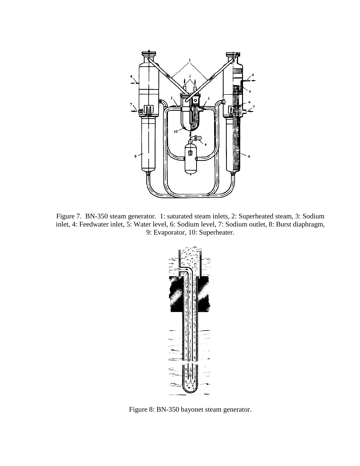

Figure 7. BN-350 steam generator. 1: saturated steam inlets, 2: Superheated steam, 3: Sodium inlet, 4: Feedwater inlet, 5: Water level, 6: Sodium level, 7: Sodium outlet, 8: Burst diaphragm, 9: Evaporator, 10: Superheater.



Figure 8: BN-350 bayonet steam generator.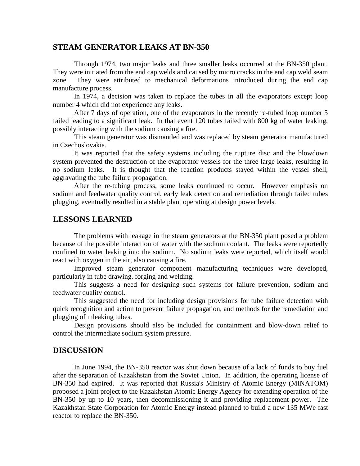#### **STEAM GENERATOR LEAKS AT BN-350**

Through 1974, two major leaks and three smaller leaks occurred at the BN-350 plant. They were initiated from the end cap welds and caused by micro cracks in the end cap weld seam zone. They were attributed to mechanical deformations introduced during the end cap manufacture process.

In 1974, a decision was taken to replace the tubes in all the evaporators except loop number 4 which did not experience any leaks.

After 7 days of operation, one of the evaporators in the recently re-tubed loop number 5 failed leading to a significant leak. In that event 120 tubes failed with 800 kg of water leaking, possibly interacting with the sodium causing a fire.

This steam generator was dismantled and was replaced by steam generator manufactured in Czechoslovakia.

It was reported that the safety systems including the rupture disc and the blowdown system prevented the destruction of the evaporator vessels for the three large leaks, resulting in no sodium leaks. It is thought that the reaction products stayed within the vessel shell, aggravating the tube failure propagation.

After the re-tubing process, some leaks continued to occur. However emphasis on sodium and feedwater quality control, early leak detection and remediation through failed tubes plugging, eventually resulted in a stable plant operating at design power levels.

#### **LESSONS LEARNED**

The problems with leakage in the steam generators at the BN-350 plant posed a problem because of the possible interaction of water with the sodium coolant. The leaks were reportedly confined to water leaking into the sodium. No sodium leaks were reported, which itself would react with oxygen in the air, also causing a fire.

Improved steam generator component manufacturing techniques were developed, particularly in tube drawing, forging and welding.

This suggests a need for designing such systems for failure prevention, sodium and feedwater quality control.

This suggested the need for including design provisions for tube failure detection with quick recognition and action to prevent failure propagation, and methods for the remediation and plugging of mleaking tubes.

Design provisions should also be included for containment and blow-down relief to control the intermediate sodium system pressure.

#### **DISCUSSION**

In June 1994, the BN-350 reactor was shut down because of a lack of funds to buy fuel after the separation of Kazakhstan from the Soviet Union. In addition, the operating license of BN-350 had expired. It was reported that Russia's Ministry of Atomic Energy (MINATOM) proposed a joint project to the Kazakhstan Atomic Energy Agency for extending operation of the BN-350 by up to 10 years, then decommissioning it and providing replacement power. The Kazakhstan State Corporation for Atomic Energy instead planned to build a new 135 MWe fast reactor to replace the BN-350.